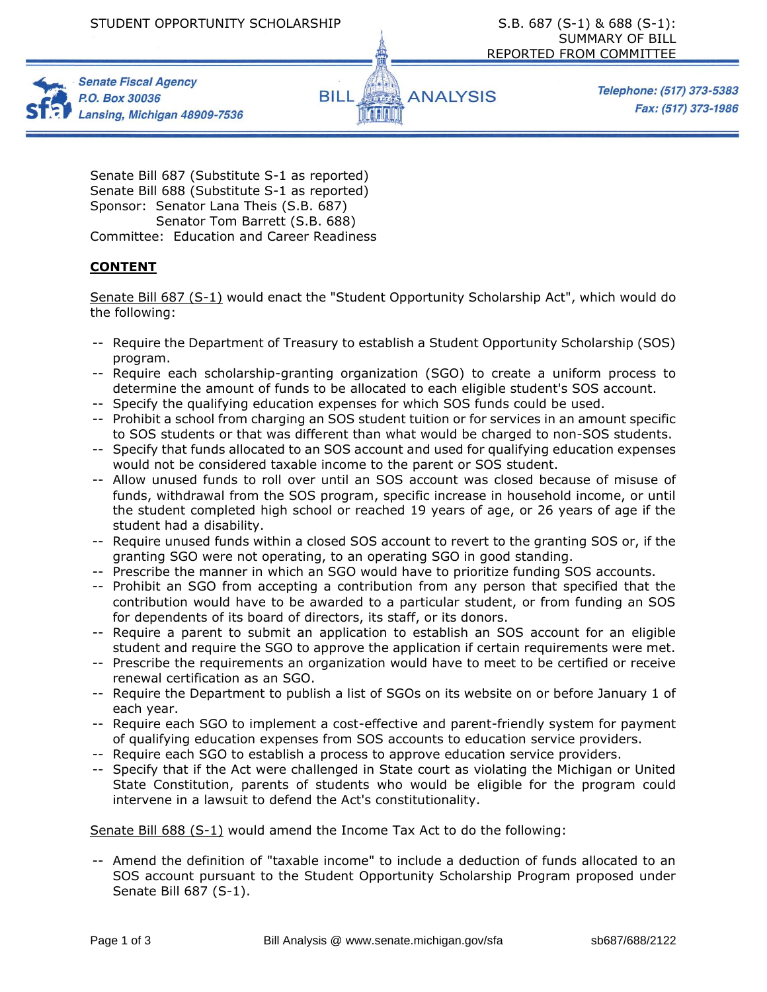



Telephone: (517) 373-5383 Fax: (517) 373-1986

Senate Bill 687 (Substitute S-1 as reported) Senate Bill 688 (Substitute S-1 as reported) Sponsor: Senator Lana Theis (S.B. 687) Senator Tom Barrett (S.B. 688) Committee: Education and Career Readiness

## **CONTENT**

Senate Bill 687 (S-1) would enact the "Student Opportunity Scholarship Act", which would do the following:

- -- Require the Department of Treasury to establish a Student Opportunity Scholarship (SOS) program.
- -- Require each scholarship-granting organization (SGO) to create a uniform process to determine the amount of funds to be allocated to each eligible student's SOS account.
- -- Specify the qualifying education expenses for which SOS funds could be used.
- -- Prohibit a school from charging an SOS student tuition or for services in an amount specific to SOS students or that was different than what would be charged to non-SOS students.
- -- Specify that funds allocated to an SOS account and used for qualifying education expenses would not be considered taxable income to the parent or SOS student.
- -- Allow unused funds to roll over until an SOS account was closed because of misuse of funds, withdrawal from the SOS program, specific increase in household income, or until the student completed high school or reached 19 years of age, or 26 years of age if the student had a disability.
- -- Require unused funds within a closed SOS account to revert to the granting SOS or, if the granting SGO were not operating, to an operating SGO in good standing.
- -- Prescribe the manner in which an SGO would have to prioritize funding SOS accounts.
- -- Prohibit an SGO from accepting a contribution from any person that specified that the contribution would have to be awarded to a particular student, or from funding an SOS for dependents of its board of directors, its staff, or its donors.
- -- Require a parent to submit an application to establish an SOS account for an eligible student and require the SGO to approve the application if certain requirements were met.
- -- Prescribe the requirements an organization would have to meet to be certified or receive renewal certification as an SGO.
- -- Require the Department to publish a list of SGOs on its website on or before January 1 of each year.
- -- Require each SGO to implement a cost-effective and parent-friendly system for payment of qualifying education expenses from SOS accounts to education service providers.
- -- Require each SGO to establish a process to approve education service providers.
- -- Specify that if the Act were challenged in State court as violating the Michigan or United State Constitution, parents of students who would be eligible for the program could intervene in a lawsuit to defend the Act's constitutionality.

Senate Bill 688 (S-1) would amend the Income Tax Act to do the following:

-- Amend the definition of "taxable income" to include a deduction of funds allocated to an SOS account pursuant to the Student Opportunity Scholarship Program proposed under Senate Bill 687 (S-1).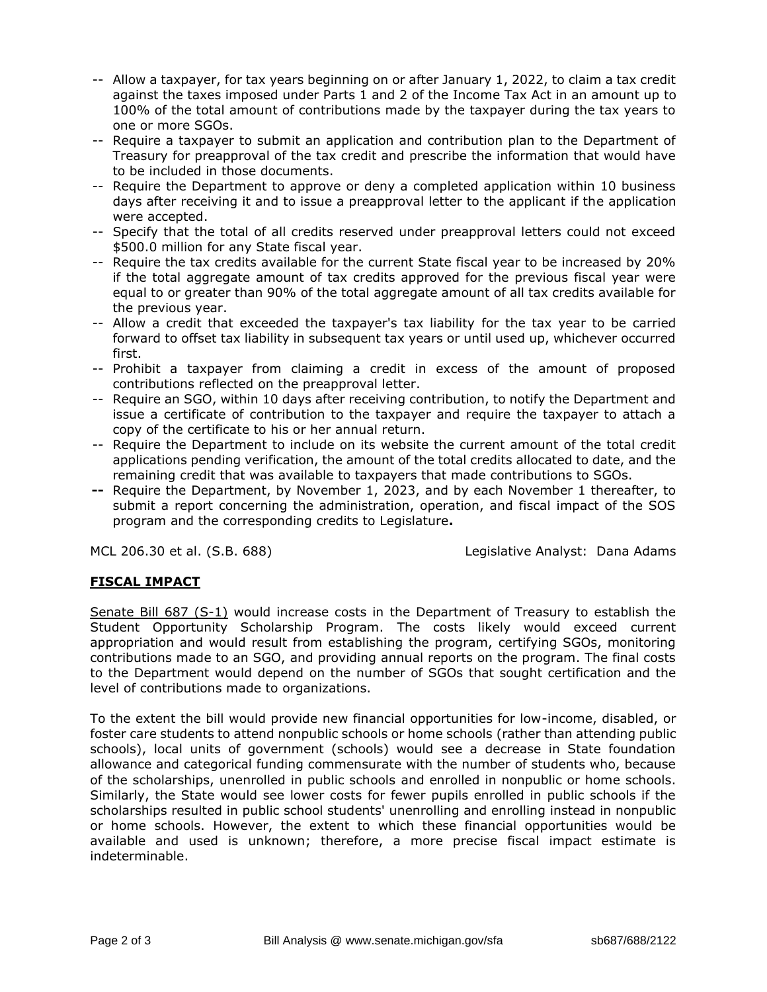- -- Allow a taxpayer, for tax years beginning on or after January 1, 2022, to claim a tax credit against the taxes imposed under Parts 1 and 2 of the Income Tax Act in an amount up to 100% of the total amount of contributions made by the taxpayer during the tax years to one or more SGOs.
- -- Require a taxpayer to submit an application and contribution plan to the Department of Treasury for preapproval of the tax credit and prescribe the information that would have to be included in those documents.
- -- Require the Department to approve or deny a completed application within 10 business days after receiving it and to issue a preapproval letter to the applicant if the application were accepted.
- -- Specify that the total of all credits reserved under preapproval letters could not exceed \$500.0 million for any State fiscal year.
- -- Require the tax credits available for the current State fiscal year to be increased by 20% if the total aggregate amount of tax credits approved for the previous fiscal year were equal to or greater than 90% of the total aggregate amount of all tax credits available for the previous year.
- -- Allow a credit that exceeded the taxpayer's tax liability for the tax year to be carried forward to offset tax liability in subsequent tax years or until used up, whichever occurred first.
- -- Prohibit a taxpayer from claiming a credit in excess of the amount of proposed contributions reflected on the preapproval letter.
- -- Require an SGO, within 10 days after receiving contribution, to notify the Department and issue a certificate of contribution to the taxpayer and require the taxpayer to attach a copy of the certificate to his or her annual return.
- -- Require the Department to include on its website the current amount of the total credit applications pending verification, the amount of the total credits allocated to date, and the remaining credit that was available to taxpayers that made contributions to SGOs.
- **--** Require the Department, by November 1, 2023, and by each November 1 thereafter, to submit a report concerning the administration, operation, and fiscal impact of the SOS program and the corresponding credits to Legislature**.**

MCL 206.30 et al. (S.B. 688) Legislative Analyst: Dana Adams

## **FISCAL IMPACT**

Senate Bill 687 (S-1) would increase costs in the Department of Treasury to establish the Student Opportunity Scholarship Program. The costs likely would exceed current appropriation and would result from establishing the program, certifying SGOs, monitoring contributions made to an SGO, and providing annual reports on the program. The final costs to the Department would depend on the number of SGOs that sought certification and the level of contributions made to organizations.

To the extent the bill would provide new financial opportunities for low-income, disabled, or foster care students to attend nonpublic schools or home schools (rather than attending public schools), local units of government (schools) would see a decrease in State foundation allowance and categorical funding commensurate with the number of students who, because of the scholarships, unenrolled in public schools and enrolled in nonpublic or home schools. Similarly, the State would see lower costs for fewer pupils enrolled in public schools if the scholarships resulted in public school students' unenrolling and enrolling instead in nonpublic or home schools. However, the extent to which these financial opportunities would be available and used is unknown; therefore, a more precise fiscal impact estimate is indeterminable.